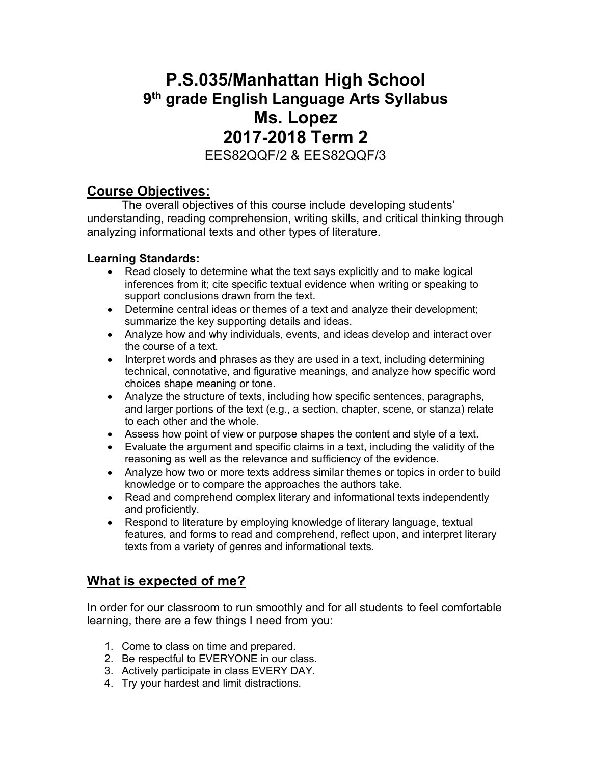# **P.S.035/Manhattan High School 9th grade English Language Arts Syllabus Ms. Lopez 2017-2018 Term 2** EES82QQF/2 & EES82QQF/3

#### **Course Objectives:**

The overall objectives of this course include developing students' understanding, reading comprehension, writing skills, and critical thinking through analyzing informational texts and other types of literature.

#### **Learning Standards:**

- Read closely to determine what the text says explicitly and to make logical inferences from it; cite specific textual evidence when writing or speaking to support conclusions drawn from the text.
- Determine central ideas or themes of a text and analyze their development; summarize the key supporting details and ideas.
- Analyze how and why individuals, events, and ideas develop and interact over the course of a text.
- Interpret words and phrases as they are used in a text, including determining technical, connotative, and figurative meanings, and analyze how specific word choices shape meaning or tone.
- Analyze the structure of texts, including how specific sentences, paragraphs, and larger portions of the text (e.g., a section, chapter, scene, or stanza) relate to each other and the whole.
- Assess how point of view or purpose shapes the content and style of a text.
- Evaluate the argument and specific claims in a text, including the validity of the reasoning as well as the relevance and sufficiency of the evidence.
- Analyze how two or more texts address similar themes or topics in order to build knowledge or to compare the approaches the authors take.
- Read and comprehend complex literary and informational texts independently and proficiently.
- Respond to literature by employing knowledge of literary language, textual features, and forms to read and comprehend, reflect upon, and interpret literary texts from a variety of genres and informational texts.

## **What is expected of me?**

In order for our classroom to run smoothly and for all students to feel comfortable learning, there are a few things I need from you:

- 1. Come to class on time and prepared.
- 2. Be respectful to EVERYONE in our class.
- 3. Actively participate in class EVERY DAY.
- 4. Try your hardest and limit distractions.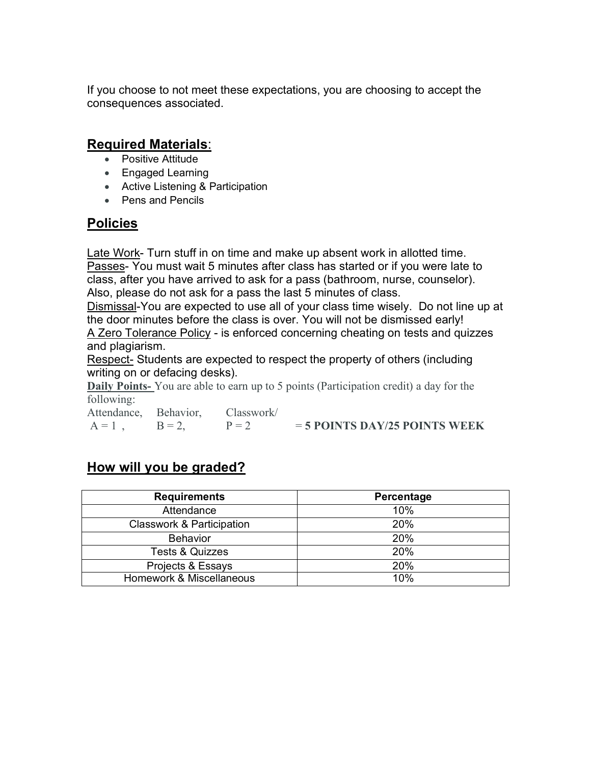If you choose to not meet these expectations, you are choosing to accept the consequences associated.

#### **Required Materials**:

- Positive Attitude
- Engaged Learning
- Active Listening & Participation
- Pens and Pencils

#### **Policies**

Late Work- Turn stuff in on time and make up absent work in allotted time. Passes- You must wait 5 minutes after class has started or if you were late to class, after you have arrived to ask for a pass (bathroom, nurse, counselor). Also, please do not ask for a pass the last 5 minutes of class.

Dismissal-You are expected to use all of your class time wisely. Do not line up at the door minutes before the class is over. You will not be dismissed early!

A Zero Tolerance Policy - is enforced concerning cheating on tests and quizzes and plagiarism.

Respect- Students are expected to respect the property of others (including writing on or defacing desks).

**Daily Points-** You are able to earn up to 5 points (Participation credit) a day for the following:

| Attendance, Behavior, Classwork/ |                                 |
|----------------------------------|---------------------------------|
| $A = 1$ , $B = 2$ , $P = 2$      | $=$ 5 POINTS DAY/25 POINTS WEEK |

### **How will you be graded?**

| <b>Requirements</b>                  | Percentage |
|--------------------------------------|------------|
| Attendance                           | 10%        |
| <b>Classwork &amp; Participation</b> | 20%        |
| <b>Behavior</b>                      | 20%        |
| <b>Tests &amp; Quizzes</b>           | 20%        |
| Projects & Essays                    | 20%        |
| Homework & Miscellaneous             | 10%        |